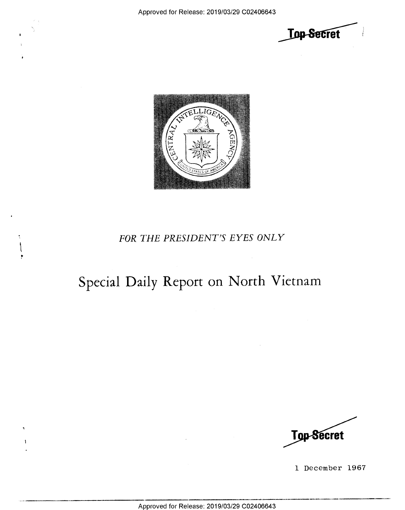



### FOR THE PRESIDENT'S EYES ONLY

# Special Daily Report on North Vietnam



1 December 1967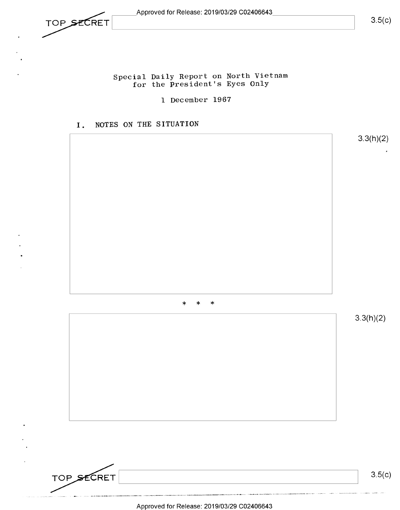$\sqrt{3.5(c)}$ 

#### Special Daily Report on North Vietnam for the President's Eyes Only

1 December 1967

#### I, NOTES ON THE SITUATION



.<br>International control and control and the state of the control of the state of the state of the state of the Approved for Release: 2019/03/29 C02406643

TOP SECRET  $3.5(c)$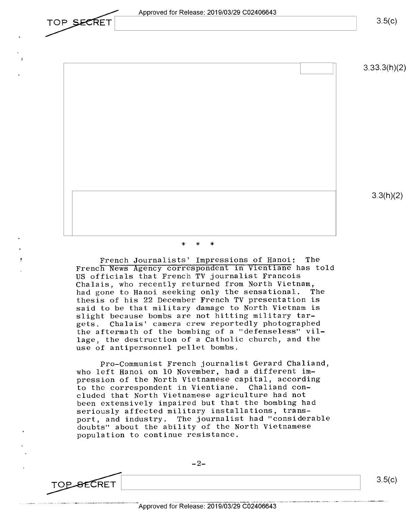Approved for Release: 2019/03/29 C02406643

 $3.5(c)$ 

 $3.33($ h $)(2)$ 

3.3(h)(2)

#### \* \* \*

French Journalists' Impressions of Hanoi: The French News Agency correspondent in Vientiane has told US officials that French TV journalist Francois Chalais, who recently returned from North Vietnam, had gone to Hanoi seeking only the sensational. The thesis of his 22 December French TV presentation is said to be that military damage to North Vietnam is slight because bombs are not hitting military tar-<br>gets. Chalais' camera crew reportedly photographe Chalais' camera crew reportedly photographed the aftermath of the bombing of a "defenseless" village, the destruction of a Catholic church, and the use of antipersonnel pellet bombs.

Pro-Communist French journalist Gerard Chaliand, who left Hanoi on 10 November, had a different impression of the North Vietnamese capital, according to the correspondent in Vientiane. Chaliand concluded that North Vietnamese agriculture had not been extensively impaired but that the bombing had seriously affected military installations, transport, and industry. The journalist had "considerable doubts" about the ability of the North Vietnamese population to continue resistance.

 $-2-$ 

TOP SECRET

.<br>Notable to an anti-department of the set of the construction of the set of the set of

TOP SECRET

 $3.5(c)$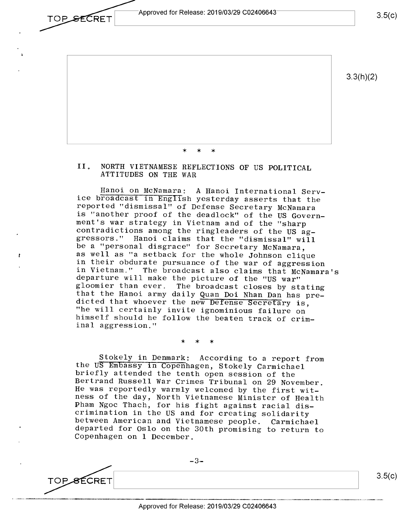Approved for Release: 2019/03/29 C02406643 TOP RETFIII 3\_5(C)



\* \* >i<

## II. NORTH VIETNAMESE REFLECTIONS OF US POLITICAL ATTITUDES ON THE WAR

Hanoi on McNamara: A Hanoi International Serv-<br>ice broadcast in English yesterday asserts that the<br>reported "dismissal" of Defense Secretary McNamara<br>is "another proof of the deadlock" of the US Govern-<br>ment's war strategy as well as "a setback for the whole Johnson clique<br>in their obdurate pursuance of the war of aggression in Vietnam." The broadcast also claims that McNamara's<br>departure will make the picture of the "US war"<br>gloomier than ever. The broadcast closes by stating<br>that the Hanoi army daily Quan Doi Nhan Dan has pre-<br>dicted that wh

\* >k \*

Stokely in Denmark: According to a report from<br>the US Embassy in Copenhagen, Stokely Carmichael<br>briefly attended the tenth open session of the<br>Bertrand Russell War Crimes Tribunal on 29 November.<br>He was reportedly warmly w

 $\overline{O}$  TOP SECRET  $\begin{bmatrix} 3.5(c) \\ 3.5(c) \end{bmatrix}$ 

 $-3-$